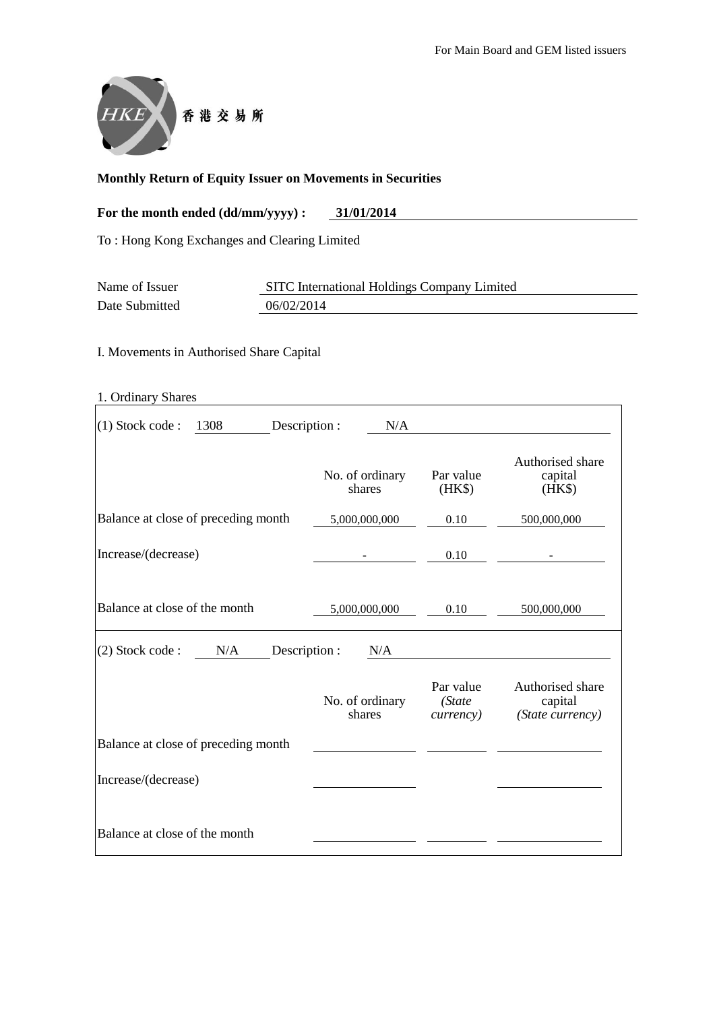

# **Monthly Return of Equity Issuer on Movements in Securities**

## For the month ended (dd/mm/yyyy) : 31/01/2014

To : Hong Kong Exchanges and Clearing Limited

| Name of Issuer | SITC International Holdings Company Limited |  |  |  |  |
|----------------|---------------------------------------------|--|--|--|--|
| Date Submitted | 06/02/2014                                  |  |  |  |  |

I. Movements in Authorised Share Capital

| 1. Ordinary Shares                         |                           |                                          |                                                 |
|--------------------------------------------|---------------------------|------------------------------------------|-------------------------------------------------|
| 1308<br>$(1)$ Stock code:<br>Description : | N/A                       |                                          |                                                 |
|                                            | No. of ordinary<br>shares | Par value<br>(HK\$)                      | Authorised share<br>capital<br>$(HK\$           |
| Balance at close of preceding month        | 5,000,000,000             | 0.10                                     | 500,000,000                                     |
| Increase/(decrease)                        |                           | 0.10                                     |                                                 |
| Balance at close of the month              | 5,000,000,000             | 0.10                                     | 500,000,000                                     |
| (2) Stock code:<br>N/A                     | Description :<br>N/A      |                                          |                                                 |
|                                            | No. of ordinary<br>shares | Par value<br>(State<br><i>currency</i> ) | Authorised share<br>capital<br>(State currency) |
| Balance at close of preceding month        |                           |                                          |                                                 |
| Increase/(decrease)                        |                           |                                          |                                                 |
| Balance at close of the month              |                           |                                          |                                                 |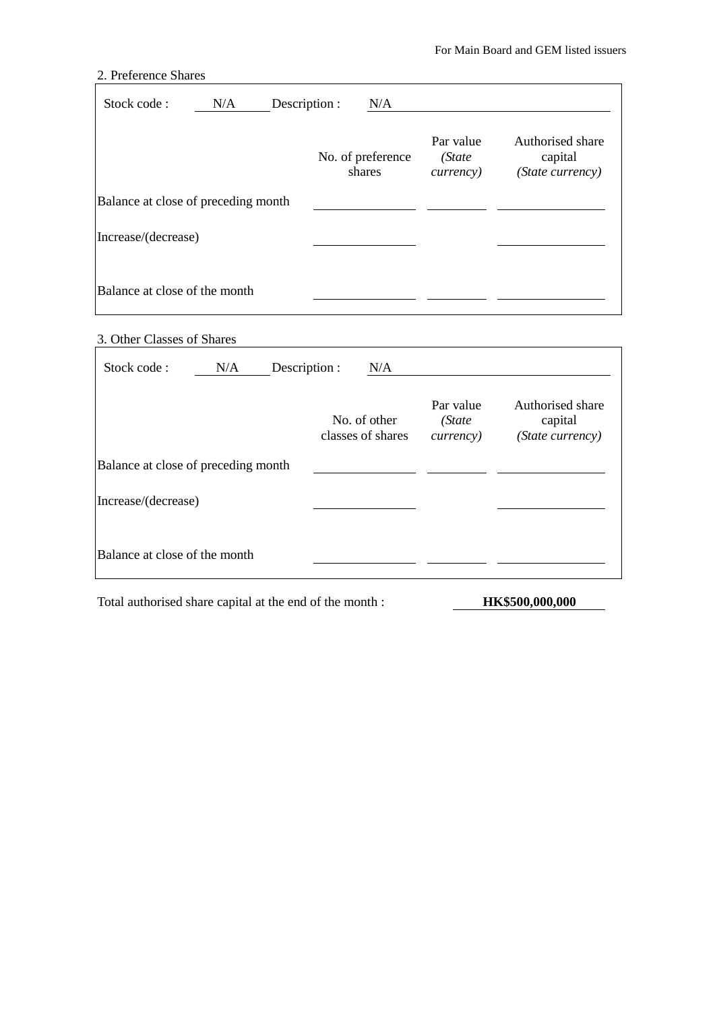# 2. Preference Shares

| Stock code:                         | N/A | Description : | N/A                         |                                          |                                                 |
|-------------------------------------|-----|---------------|-----------------------------|------------------------------------------|-------------------------------------------------|
|                                     |     |               | No. of preference<br>shares | Par value<br>(State<br><i>currency</i> ) | Authorised share<br>capital<br>(State currency) |
| Balance at close of preceding month |     |               |                             |                                          |                                                 |
| Increase/(decrease)                 |     |               |                             |                                          |                                                 |
| Balance at close of the month       |     |               |                             |                                          |                                                 |

## 3. Other Classes of Shares

| Stock code:                         | N/A | Description : | N/A                               |                                           |                                                 |
|-------------------------------------|-----|---------------|-----------------------------------|-------------------------------------------|-------------------------------------------------|
|                                     |     |               | No. of other<br>classes of shares | Par value<br>(State)<br><i>currency</i> ) | Authorised share<br>capital<br>(State currency) |
| Balance at close of preceding month |     |               |                                   |                                           |                                                 |
| Increase/(decrease)                 |     |               |                                   |                                           |                                                 |
| Balance at close of the month       |     |               |                                   |                                           |                                                 |

Total authorised share capital at the end of the month : **HK\$500,000,000**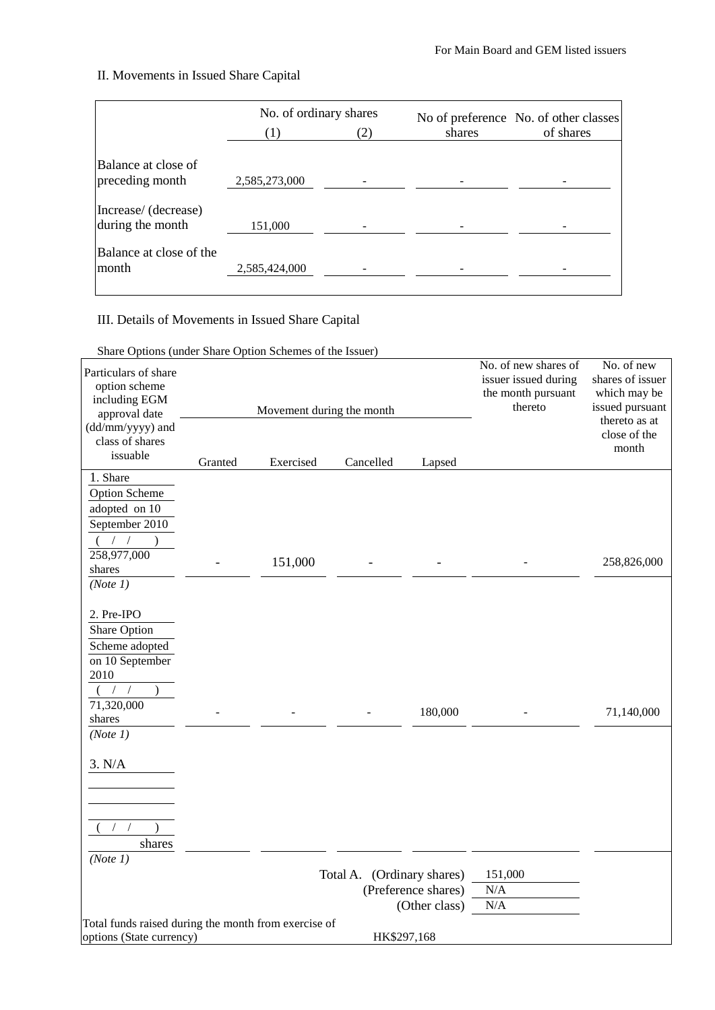## II. Movements in Issued Share Capital

|                                          | No. of ordinary shares |     |        | No of preference No. of other classes |  |
|------------------------------------------|------------------------|-----|--------|---------------------------------------|--|
|                                          |                        | (2) | shares | of shares                             |  |
| Balance at close of<br>preceding month   | 2,585,273,000          |     |        |                                       |  |
| Increase/ (decrease)<br>during the month | 151,000                |     |        |                                       |  |
| Balance at close of the<br>month         | 2,585,424,000          |     |        |                                       |  |

III. Details of Movements in Issued Share Capital

Share Options (under Share Option Schemes of the Issuer)

| Particulars of share<br>option scheme<br>including EGM<br>approval date<br>(dd/mm/yyyy) and |         | Movement during the month | No. of new shares of<br>issuer issued during<br>the month pursuant<br>thereto | No. of new<br>shares of issuer<br>which may be<br>issued pursuant<br>thereto as at<br>close of the |         |             |
|---------------------------------------------------------------------------------------------|---------|---------------------------|-------------------------------------------------------------------------------|----------------------------------------------------------------------------------------------------|---------|-------------|
| class of shares<br>issuable                                                                 | Granted | Exercised                 | Cancelled                                                                     | Lapsed                                                                                             |         | month       |
| 1. Share                                                                                    |         |                           |                                                                               |                                                                                                    |         |             |
| <b>Option Scheme</b>                                                                        |         |                           |                                                                               |                                                                                                    |         |             |
| adopted on 10                                                                               |         |                           |                                                                               |                                                                                                    |         |             |
| September 2010                                                                              |         |                           |                                                                               |                                                                                                    |         |             |
| $($ / /                                                                                     |         |                           |                                                                               |                                                                                                    |         |             |
| 258,977,000                                                                                 |         | 151,000                   |                                                                               |                                                                                                    |         | 258,826,000 |
| shares                                                                                      |         |                           |                                                                               |                                                                                                    |         |             |
| (Note 1)                                                                                    |         |                           |                                                                               |                                                                                                    |         |             |
| 2. Pre-IPO<br>Share Option                                                                  |         |                           |                                                                               |                                                                                                    |         |             |
| Scheme adopted                                                                              |         |                           |                                                                               |                                                                                                    |         |             |
| on 10 September                                                                             |         |                           |                                                                               |                                                                                                    |         |             |
| 2010                                                                                        |         |                           |                                                                               |                                                                                                    |         |             |
|                                                                                             |         |                           |                                                                               |                                                                                                    |         |             |
| 71,320,000                                                                                  |         |                           |                                                                               |                                                                                                    |         |             |
| shares                                                                                      |         |                           |                                                                               | 180,000                                                                                            |         | 71,140,000  |
| (Note 1)                                                                                    |         |                           |                                                                               |                                                                                                    |         |             |
| 3. N/A                                                                                      |         |                           |                                                                               |                                                                                                    |         |             |
|                                                                                             |         |                           |                                                                               |                                                                                                    |         |             |
|                                                                                             |         |                           |                                                                               |                                                                                                    |         |             |
| shares                                                                                      |         |                           |                                                                               |                                                                                                    |         |             |
| (Note 1)                                                                                    |         |                           |                                                                               |                                                                                                    |         |             |
|                                                                                             |         |                           | Total A. (Ordinary shares)                                                    |                                                                                                    | 151,000 |             |
|                                                                                             |         |                           |                                                                               | (Preference shares)                                                                                | N/A     |             |
|                                                                                             |         |                           |                                                                               | (Other class)                                                                                      | N/A     |             |
| Total funds raised during the month from exercise of                                        |         |                           |                                                                               |                                                                                                    |         |             |
| options (State currency)                                                                    |         |                           | HK\$297,168                                                                   |                                                                                                    |         |             |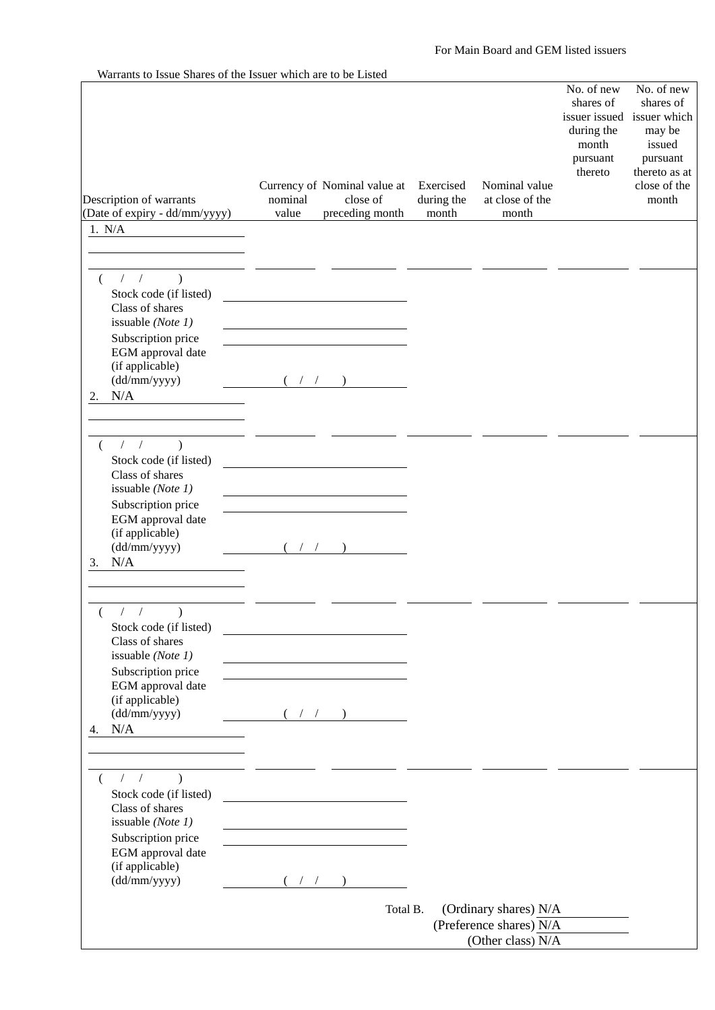|                                                                                                                                                    | Currency of Nominal value at                    | Exercised           | Nominal value                                                         | No. of new<br>shares of<br>during the<br>month<br>pursuant<br>thereto | No. of new<br>shares of<br>issuer issued issuer which<br>may be<br>issued<br>pursuant<br>thereto as at<br>close of the |
|----------------------------------------------------------------------------------------------------------------------------------------------------|-------------------------------------------------|---------------------|-----------------------------------------------------------------------|-----------------------------------------------------------------------|------------------------------------------------------------------------------------------------------------------------|
| Description of warrants<br>(Date of expiry - dd/mm/yyyy)                                                                                           | nominal<br>close of<br>preceding month<br>value | during the<br>month | at close of the<br>month                                              |                                                                       | month                                                                                                                  |
| 1. N/A                                                                                                                                             |                                                 |                     |                                                                       |                                                                       |                                                                                                                        |
|                                                                                                                                                    |                                                 |                     |                                                                       |                                                                       |                                                                                                                        |
| $\sqrt{2}$<br>$\sqrt{2}$<br>$\lambda$<br>Stock code (if listed)<br>Class of shares<br>issuable (Note 1)<br>Subscription price<br>EGM approval date |                                                 |                     |                                                                       |                                                                       |                                                                                                                        |
| (if applicable)                                                                                                                                    |                                                 |                     |                                                                       |                                                                       |                                                                                                                        |
| (dd/mm/yyyy)<br>N/A<br>2.                                                                                                                          |                                                 |                     |                                                                       |                                                                       |                                                                                                                        |
| 1/<br>$\lambda$                                                                                                                                    |                                                 |                     |                                                                       |                                                                       |                                                                                                                        |
| Stock code (if listed)<br>Class of shares<br>issuable (Note 1)<br>Subscription price                                                               |                                                 |                     |                                                                       |                                                                       |                                                                                                                        |
| EGM approval date<br>(if applicable)<br>(dd/mm/yyyy)<br>N/A<br>3.                                                                                  |                                                 |                     |                                                                       |                                                                       |                                                                                                                        |
|                                                                                                                                                    |                                                 |                     |                                                                       |                                                                       |                                                                                                                        |
| $\frac{1}{2}$<br>$\mathcal{L}$<br>Stock code (if listed)<br>Class of shares<br>issuable (Note 1)                                                   |                                                 |                     |                                                                       |                                                                       |                                                                                                                        |
| Subscription price<br>EGM approval date<br>(if applicable)<br>(dd/mm/yyyy)                                                                         | $($ $/$ $/$ $)$ $)$                             |                     |                                                                       |                                                                       |                                                                                                                        |
| N/A<br>4.                                                                                                                                          |                                                 |                     |                                                                       |                                                                       |                                                                                                                        |
| $1/2$ )<br>$\left($<br>Stock code (if listed)<br>Class of shares<br>issuable (Note 1)<br>Subscription price                                        |                                                 |                     |                                                                       |                                                                       |                                                                                                                        |
| EGM approval date<br>(if applicable)<br>(dd/mm/yyyy)                                                                                               | $($ / / )                                       |                     |                                                                       |                                                                       |                                                                                                                        |
|                                                                                                                                                    |                                                 | Total B.            | (Ordinary shares) N/A<br>(Preference shares) N/A<br>(Other class) N/A |                                                                       |                                                                                                                        |

## Warrants to Issue Shares of the Issuer which are to be Listed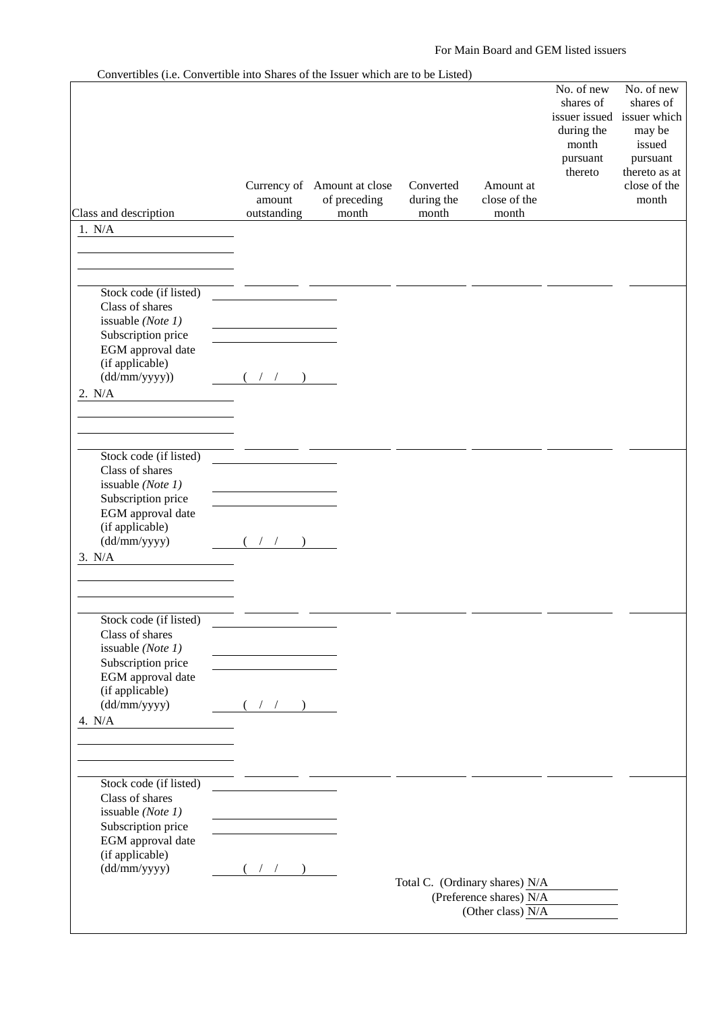#### For Main Board and GEM listed issuers

|                                           | $\frac{1}{2}$<br>Currency of Amount at close<br>amount | of preceding | Converted<br>during the | Amount at<br>close of the      | No. of new<br>shares of<br>during the<br>month<br>pursuant<br>thereto | No. of new<br>shares of<br>issuer issued issuer which<br>may be<br>issued<br>pursuant<br>thereto as at<br>close of the<br>month |
|-------------------------------------------|--------------------------------------------------------|--------------|-------------------------|--------------------------------|-----------------------------------------------------------------------|---------------------------------------------------------------------------------------------------------------------------------|
| Class and description                     | outstanding                                            | month        | month                   | month                          |                                                                       |                                                                                                                                 |
| 1. N/A                                    |                                                        |              |                         |                                |                                                                       |                                                                                                                                 |
|                                           |                                                        |              |                         |                                |                                                                       |                                                                                                                                 |
|                                           |                                                        |              |                         |                                |                                                                       |                                                                                                                                 |
|                                           |                                                        |              |                         |                                |                                                                       |                                                                                                                                 |
| Stock code (if listed)                    |                                                        |              |                         |                                |                                                                       |                                                                                                                                 |
| Class of shares                           |                                                        |              |                         |                                |                                                                       |                                                                                                                                 |
| issuable (Note 1)                         |                                                        |              |                         |                                |                                                                       |                                                                                                                                 |
| Subscription price                        |                                                        |              |                         |                                |                                                                       |                                                                                                                                 |
| EGM approval date                         |                                                        |              |                         |                                |                                                                       |                                                                                                                                 |
| (if applicable)<br>(dd/mm/yyyy))          | $($ $/$ $/$ $)$                                        |              |                         |                                |                                                                       |                                                                                                                                 |
|                                           |                                                        |              |                         |                                |                                                                       |                                                                                                                                 |
| 2. N/A                                    |                                                        |              |                         |                                |                                                                       |                                                                                                                                 |
|                                           |                                                        |              |                         |                                |                                                                       |                                                                                                                                 |
|                                           |                                                        |              |                         |                                |                                                                       |                                                                                                                                 |
|                                           |                                                        |              |                         |                                |                                                                       |                                                                                                                                 |
| Stock code (if listed)<br>Class of shares |                                                        |              |                         |                                |                                                                       |                                                                                                                                 |
| issuable (Note 1)                         |                                                        |              |                         |                                |                                                                       |                                                                                                                                 |
| Subscription price                        |                                                        |              |                         |                                |                                                                       |                                                                                                                                 |
| EGM approval date                         |                                                        |              |                         |                                |                                                                       |                                                                                                                                 |
| (if applicable)                           |                                                        |              |                         |                                |                                                                       |                                                                                                                                 |
| (dd/mm/yyyy)                              |                                                        |              |                         |                                |                                                                       |                                                                                                                                 |
| 3. N/A                                    |                                                        |              |                         |                                |                                                                       |                                                                                                                                 |
|                                           |                                                        |              |                         |                                |                                                                       |                                                                                                                                 |
|                                           |                                                        |              |                         |                                |                                                                       |                                                                                                                                 |
|                                           |                                                        |              |                         |                                |                                                                       |                                                                                                                                 |
| Stock code (if listed)                    |                                                        |              |                         |                                |                                                                       |                                                                                                                                 |
| Class of shares                           |                                                        |              |                         |                                |                                                                       |                                                                                                                                 |
| issuable (Note 1)                         |                                                        |              |                         |                                |                                                                       |                                                                                                                                 |
| Subscription price                        |                                                        |              |                         |                                |                                                                       |                                                                                                                                 |
| EGM approval date                         |                                                        |              |                         |                                |                                                                       |                                                                                                                                 |
| (if applicable)                           |                                                        |              |                         |                                |                                                                       |                                                                                                                                 |
| (dd/mm/yyyy)                              | $($ / $/$ )                                            |              |                         |                                |                                                                       |                                                                                                                                 |
| 4. N/A                                    |                                                        |              |                         |                                |                                                                       |                                                                                                                                 |
|                                           |                                                        |              |                         |                                |                                                                       |                                                                                                                                 |
|                                           |                                                        |              |                         |                                |                                                                       |                                                                                                                                 |
|                                           |                                                        |              |                         |                                |                                                                       |                                                                                                                                 |
| Stock code (if listed)                    |                                                        |              |                         |                                |                                                                       |                                                                                                                                 |
| Class of shares                           |                                                        |              |                         |                                |                                                                       |                                                                                                                                 |
| issuable (Note 1)<br>Subscription price   |                                                        |              |                         |                                |                                                                       |                                                                                                                                 |
| EGM approval date                         |                                                        |              |                         |                                |                                                                       |                                                                                                                                 |
| (if applicable)                           |                                                        |              |                         |                                |                                                                       |                                                                                                                                 |
| (dd/mm/yyyy)                              | $($ / / $)$                                            |              |                         |                                |                                                                       |                                                                                                                                 |
|                                           |                                                        |              |                         | Total C. (Ordinary shares) N/A |                                                                       |                                                                                                                                 |
|                                           |                                                        |              |                         | (Preference shares) N/A        |                                                                       |                                                                                                                                 |
|                                           |                                                        |              |                         | (Other class) N/A              |                                                                       |                                                                                                                                 |
|                                           |                                                        |              |                         |                                |                                                                       |                                                                                                                                 |

#### Convertibles (i.e. Convertible into Shares of the Issuer which are to be Listed)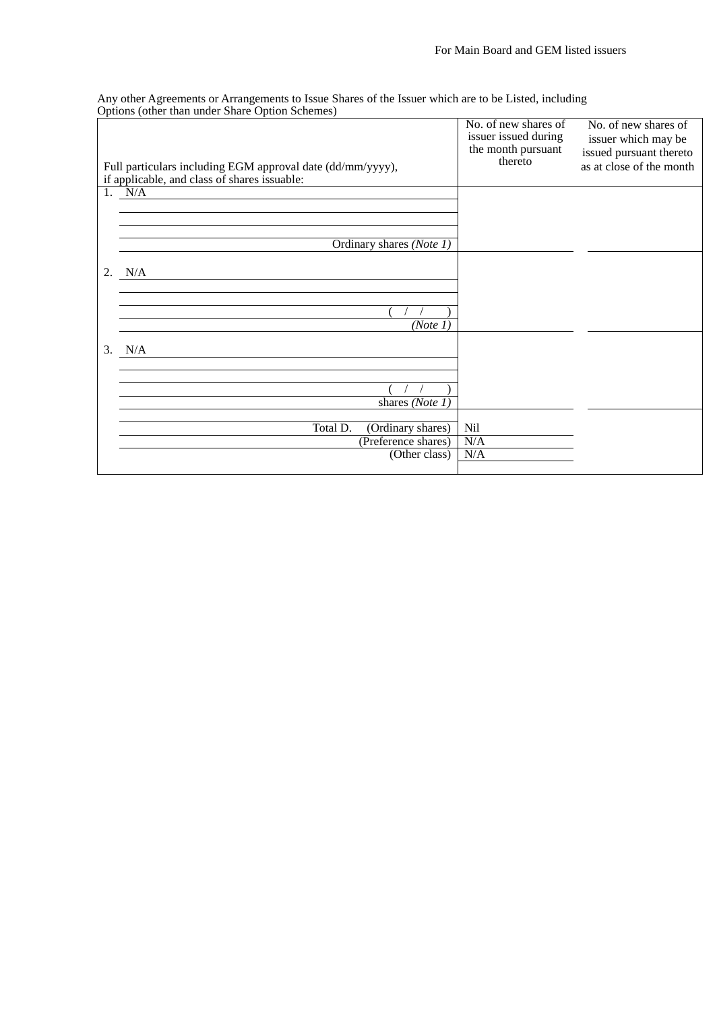Any other Agreements or Arrangements to Issue Shares of the Issuer which are to be Listed, including Options (other than under Share Option Schemes)

| Full particulars including EGM approval date (dd/mm/yyyy),<br>if applicable, and class of shares issuable: | No. of new shares of<br>issuer issued during<br>the month pursuant<br>thereto | No. of new shares of<br>issuer which may be<br>issued pursuant thereto<br>as at close of the month |
|------------------------------------------------------------------------------------------------------------|-------------------------------------------------------------------------------|----------------------------------------------------------------------------------------------------|
| 1. N/A                                                                                                     |                                                                               |                                                                                                    |
|                                                                                                            |                                                                               |                                                                                                    |
|                                                                                                            |                                                                               |                                                                                                    |
| Ordinary shares (Note 1)                                                                                   |                                                                               |                                                                                                    |
|                                                                                                            |                                                                               |                                                                                                    |
| N/A<br>2.                                                                                                  |                                                                               |                                                                                                    |
|                                                                                                            |                                                                               |                                                                                                    |
|                                                                                                            |                                                                               |                                                                                                    |
| (Note 1)                                                                                                   |                                                                               |                                                                                                    |
| 3.<br>N/A                                                                                                  |                                                                               |                                                                                                    |
|                                                                                                            |                                                                               |                                                                                                    |
|                                                                                                            |                                                                               |                                                                                                    |
| shares (Note 1)                                                                                            |                                                                               |                                                                                                    |
|                                                                                                            |                                                                               |                                                                                                    |
| Total D.<br>(Ordinary shares)                                                                              | Nil                                                                           |                                                                                                    |
| (Preference shares)                                                                                        | N/A                                                                           |                                                                                                    |
| (Other class)                                                                                              | N/A                                                                           |                                                                                                    |
|                                                                                                            |                                                                               |                                                                                                    |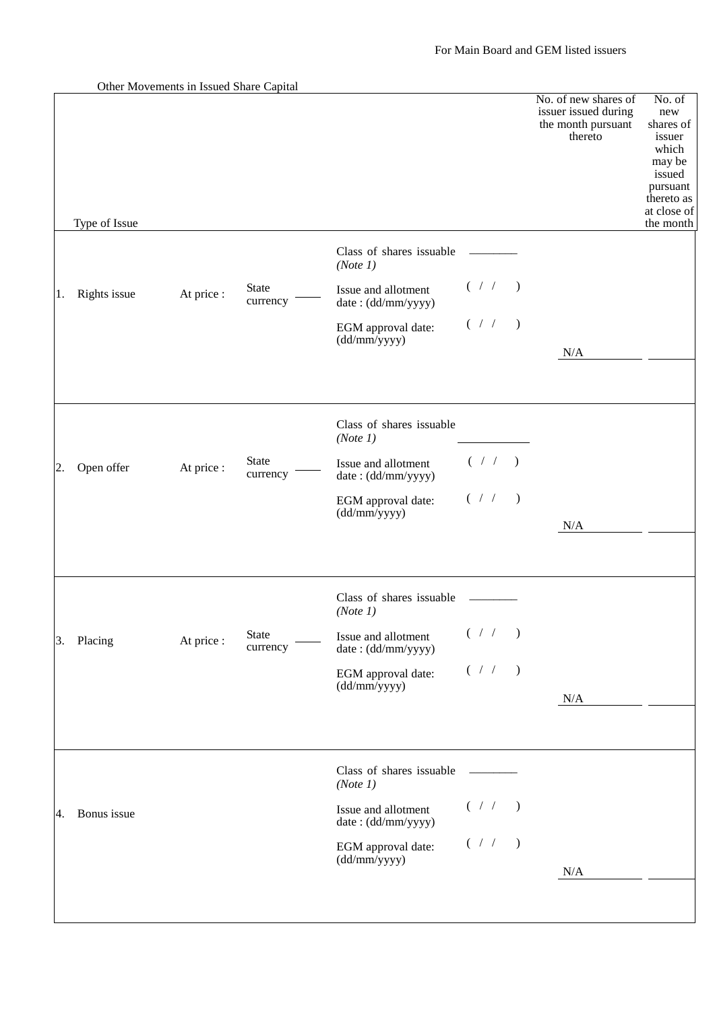Other Movements in Issued Share Capital

|    |               |            |                   |                                           |                                                    | No. of new shares of<br>issuer issued during<br>the month pursuant<br>thereto | No. of<br>new<br>shares of<br>issuer<br>which<br>may be<br>issued<br>pursuant<br>thereto as<br>at close of |
|----|---------------|------------|-------------------|-------------------------------------------|----------------------------------------------------|-------------------------------------------------------------------------------|------------------------------------------------------------------------------------------------------------|
|    | Type of Issue |            |                   |                                           |                                                    |                                                                               | the month                                                                                                  |
|    |               |            |                   | Class of shares issuable<br>(Note 1)      |                                                    |                                                                               |                                                                                                            |
| 1. | Rights issue  | At price : | State<br>currency | Issue and allotment<br>date: (dd/mm/yyyy) | $($ / $/$ )                                        |                                                                               |                                                                                                            |
|    |               |            |                   | EGM approval date:<br>(dd/mm/yyyy)        | ( / / )                                            |                                                                               |                                                                                                            |
|    |               |            |                   |                                           |                                                    | N/A                                                                           |                                                                                                            |
|    |               |            |                   | Class of shares issuable<br>(Note 1)      |                                                    |                                                                               |                                                                                                            |
| 2. | Open offer    | At price:  | State<br>currency | Issue and allotment<br>date: (dd/mm/yyyy) | $(\hspace{.1cm}/\hspace{.1cm}/\hspace{.1cm})$      |                                                                               |                                                                                                            |
|    |               |            |                   | EGM approval date:<br>(dd/mm/yyyy)        | $($ / $/$ )                                        |                                                                               |                                                                                                            |
|    |               |            |                   |                                           |                                                    | N/A                                                                           |                                                                                                            |
|    |               |            |                   | Class of shares issuable<br>(Note 1)      |                                                    |                                                                               |                                                                                                            |
| 3. | Placing       | At price:  | State<br>currency | Issue and allotment<br>date: (dd/mm/yyyy) | $($ / $/$ )                                        |                                                                               |                                                                                                            |
|    |               |            |                   | EGM approval date:<br>(dd/mm/yyyy)        | $(\hspace{.1cm} / \hspace{.1cm} / \hspace{.1cm} )$ |                                                                               |                                                                                                            |
|    |               |            |                   |                                           |                                                    | N/A                                                                           |                                                                                                            |
|    |               |            |                   | Class of shares issuable<br>(Note 1)      |                                                    |                                                                               |                                                                                                            |
| 4. | Bonus issue   |            |                   | Issue and allotment<br>date: (dd/mm/yyyy) | $($ / $/$ )                                        |                                                                               |                                                                                                            |
|    |               |            |                   | EGM approval date:<br>(dd/mm/yyyy)        | $($ / $/$ )                                        |                                                                               |                                                                                                            |
|    |               |            |                   |                                           |                                                    | N/A                                                                           |                                                                                                            |
|    |               |            |                   |                                           |                                                    |                                                                               |                                                                                                            |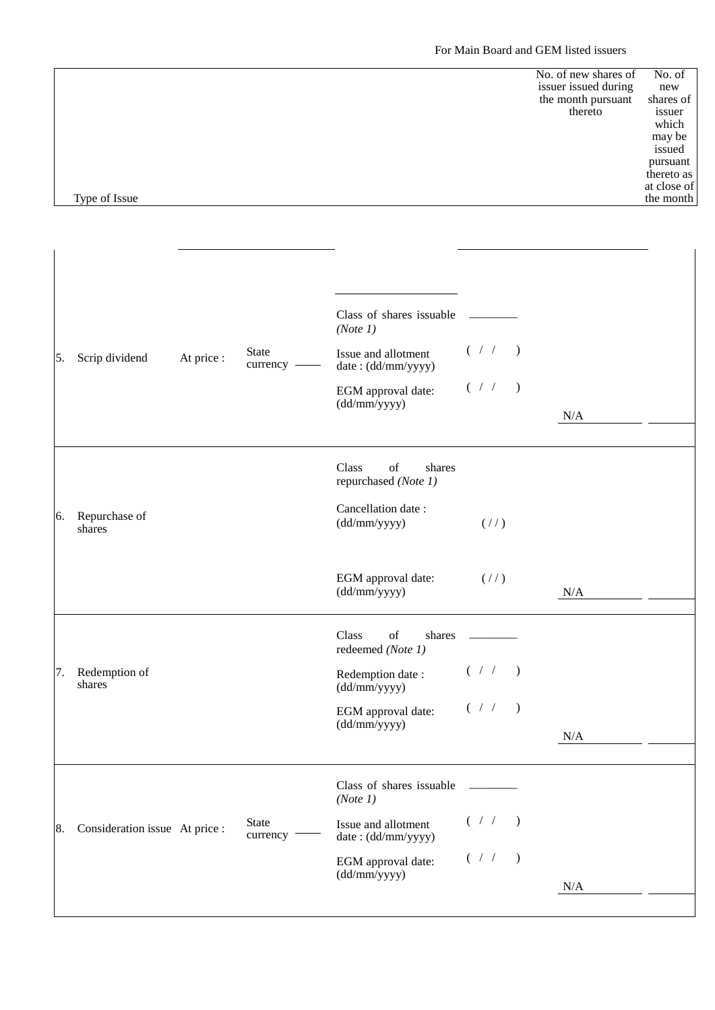### For Main Board and GEM listed issuers

|               | No. of new shares of | No. of      |
|---------------|----------------------|-------------|
|               | issuer issued during | new         |
|               | the month pursuant   | shares of   |
|               | thereto              | issuer      |
|               |                      | which       |
|               |                      | may be      |
|               |                      | issued      |
|               |                      | pursuant    |
|               |                      | thereto as  |
|               |                      | at close of |
| Type of Issue |                      | the month   |

| 5. | Scrip dividend                 | At price : | <b>State</b><br>currency - | Class of shares issuable<br>(Note 1)<br>Issue and allotment<br>date: (dd/mm/yyyy) | $($ / $/$ ) |         |     |  |
|----|--------------------------------|------------|----------------------------|-----------------------------------------------------------------------------------|-------------|---------|-----|--|
|    |                                |            |                            | EGM approval date:<br>(dd/mm/yyyy)                                                | $($ / $/$ ) |         | N/A |  |
|    |                                |            |                            | Class<br>of<br>shares<br>repurchased (Note 1)                                     |             |         |     |  |
| 6. | Repurchase of<br>shares        |            |                            | Cancellation date:<br>(dd/mm/yyyy)                                                | (1/2)       |         |     |  |
|    |                                |            |                            | EGM approval date:<br>(dd/mm/yyyy)                                                | (1/2)       |         | N/A |  |
|    |                                |            |                            | Class<br>of<br>shares<br>redeemed (Note 1)                                        |             |         |     |  |
| 7. | Redemption of<br>shares        |            |                            | Redemption date:<br>(dd/mm/yyyy)                                                  | $($ / $/$ ) |         |     |  |
|    |                                |            |                            | EGM approval date:<br>(dd/mm/yyyy)                                                | ( / / )     |         | N/A |  |
|    |                                |            |                            | Class of shares issuable<br>(Note 1)                                              |             |         |     |  |
| 8. | Consideration issue At price : |            | State<br>currency -        | Issue and allotment<br>date: (dd/mm/yyyy)                                         | (  / / )    |         |     |  |
|    |                                |            |                            | EGM approval date:<br>(dd/mm/yyyy)                                                | $($ / /     | $\big)$ | N/A |  |
|    |                                |            |                            |                                                                                   |             |         |     |  |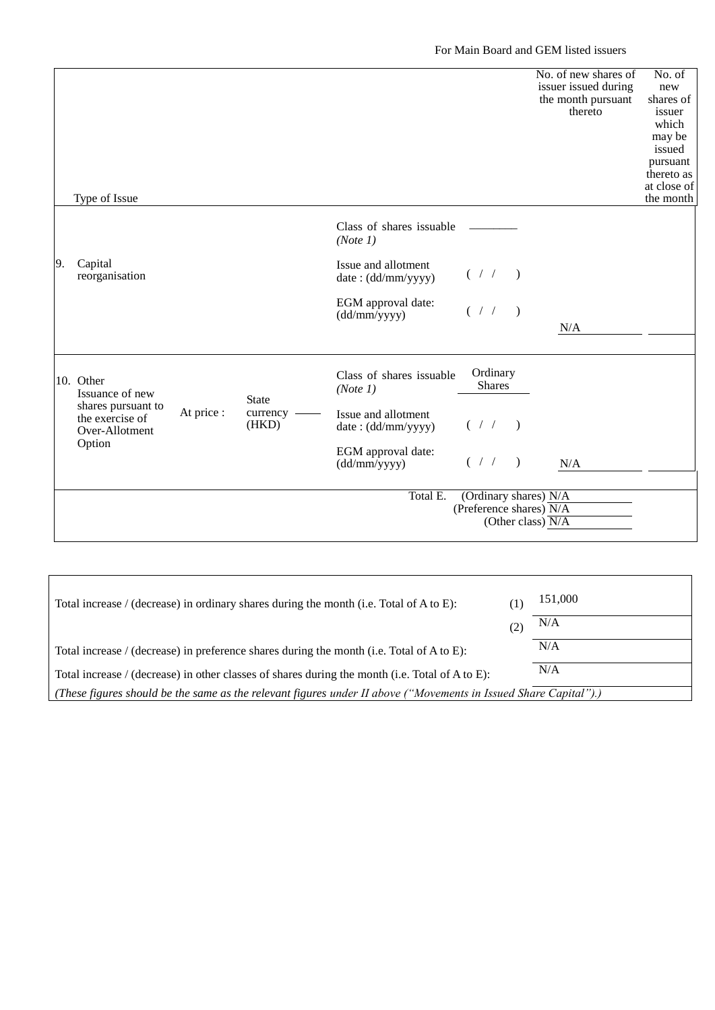For Main Board and GEM listed issuers

|    | Type of Issue                                                                                     |            |                                     |                                           |                                                  |               | No. of new shares of<br>issuer issued during<br>the month pursuant<br>thereto | No. of<br>new<br>shares of<br>issuer<br>which<br>may be<br>issued<br>pursuant<br>thereto as<br>at close of<br>the month |
|----|---------------------------------------------------------------------------------------------------|------------|-------------------------------------|-------------------------------------------|--------------------------------------------------|---------------|-------------------------------------------------------------------------------|-------------------------------------------------------------------------------------------------------------------------|
|    |                                                                                                   |            |                                     | Class of shares issuable<br>(Note 1)      |                                                  |               |                                                                               |                                                                                                                         |
| 9. | Capital<br>reorganisation                                                                         |            |                                     | Issue and allotment<br>date: (dd/mm/yyyy) | $($ / $/$ )                                      |               |                                                                               |                                                                                                                         |
|    |                                                                                                   |            |                                     | EGM approval date:<br>(dd/mm/yyyy)        | ( / / )                                          |               | N/A                                                                           |                                                                                                                         |
|    | 10. Other<br>Issuance of new<br>shares pursuant to<br>the exercise of<br>Over-Allotment<br>Option | At price : | <b>State</b><br>currency -<br>(HKD) | Class of shares issuable<br>(Note 1)      | Ordinary<br><b>Shares</b>                        |               |                                                                               |                                                                                                                         |
|    |                                                                                                   |            |                                     | Issue and allotment<br>date: (dd/mm/yyyy) | $($ / $/$ )                                      |               |                                                                               |                                                                                                                         |
|    |                                                                                                   |            |                                     | EGM approval date:<br>(dd/mm/yyyy)        | $($ / $/$                                        | $\rightarrow$ | N/A                                                                           |                                                                                                                         |
|    |                                                                                                   |            |                                     | Total E.                                  | (Ordinary shares) N/A<br>(Preference shares) N/A |               | (Other class) $\overline{N/A}$                                                |                                                                                                                         |

| Total increase / (decrease) in ordinary shares during the month (i.e. Total of A to E):                          | $\perp$ | 151,000 |  |  |  |
|------------------------------------------------------------------------------------------------------------------|---------|---------|--|--|--|
|                                                                                                                  | (2)     | N/A     |  |  |  |
| Total increase / (decrease) in preference shares during the month (i.e. Total of A to E):                        |         | N/A     |  |  |  |
| Total increase / (decrease) in other classes of shares during the month (i.e. Total of A to E):                  |         | N/A     |  |  |  |
| (These figures should be the same as the relevant figures under II above ("Movements in Issued Share Capital").) |         |         |  |  |  |